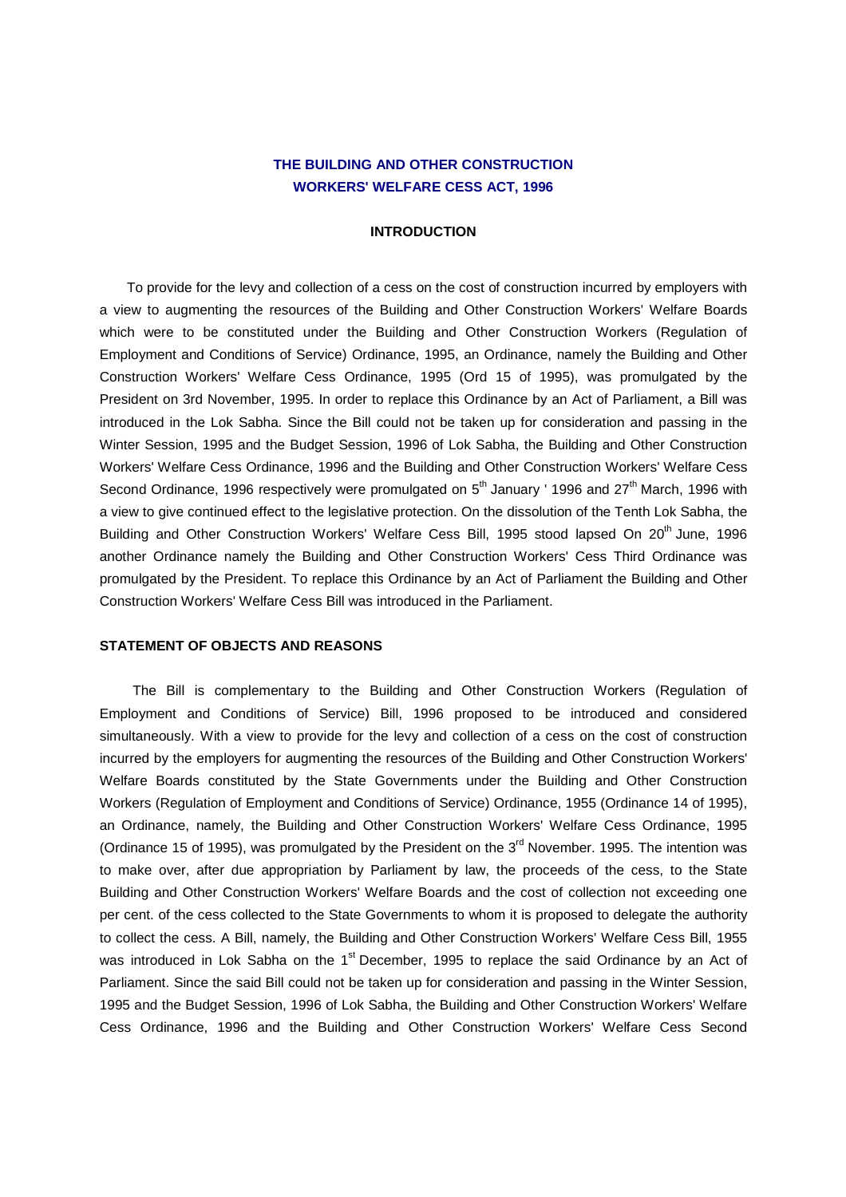## **THE BUILDING AND OTHER CONSTRUCTION WORKERS' WELFARE CESS ACT, 1996**

## **INTRODUCTION**

 To provide for the levy and collection of a cess on the cost of construction incurred by employers with a view to augmenting the resources of the Building and Other Construction Workers' Welfare Boards which were to be constituted under the Building and Other Construction Workers (Regulation of Employment and Conditions of Service) Ordinance, 1995, an Ordinance, namely the Building and Other Construction Workers' Welfare Cess Ordinance, 1995 (Ord 15 of 1995), was promulgated by the President on 3rd November, 1995. In order to replace this Ordinance by an Act of Parliament, a Bill was introduced in the Lok Sabha. Since the Bill could not be taken up for consideration and passing in the Winter Session, 1995 and the Budget Session, 1996 of Lok Sabha, the Building and Other Construction Workers' Welfare Cess Ordinance, 1996 and the Building and Other Construction Workers' Welfare Cess Second Ordinance, 1996 respectively were promulgated on  $5<sup>th</sup>$  January ' 1996 and  $27<sup>th</sup>$  March, 1996 with a view to give continued effect to the legislative protection. On the dissolution of the Tenth Lok Sabha, the Building and Other Construction Workers' Welfare Cess Bill, 1995 stood lapsed On 20<sup>th</sup> June. 1996 another Ordinance namely the Building and Other Construction Workers' Cess Third Ordinance was promulgated by the President. To replace this Ordinance by an Act of Parliament the Building and Other Construction Workers' Welfare Cess Bill was introduced in the Parliament.

## **STATEMENT OF OBJECTS AND REASONS**

 The Bill is complementary to the Building and Other Construction Workers (Regulation of Employment and Conditions of Service) Bill, 1996 proposed to be introduced and considered simultaneously. With a view to provide for the levy and collection of a cess on the cost of construction incurred by the employers for augmenting the resources of the Building and Other Construction Workers' Welfare Boards constituted by the State Governments under the Building and Other Construction Workers (Regulation of Employment and Conditions of Service) Ordinance, 1955 (Ordinance 14 of 1995), an Ordinance, namely, the Building and Other Construction Workers' Welfare Cess Ordinance, 1995 (Ordinance 15 of 1995), was promulgated by the President on the  $3<sup>rd</sup>$  November. 1995. The intention was to make over, after due appropriation by Parliament by law, the proceeds of the cess, to the State Building and Other Construction Workers' Welfare Boards and the cost of collection not exceeding one per cent. of the cess collected to the State Governments to whom it is proposed to delegate the authority to collect the cess. A Bill, namely, the Building and Other Construction Workers' Welfare Cess Bill, 1955 was introduced in Lok Sabha on the 1<sup>st</sup> December, 1995 to replace the said Ordinance by an Act of Parliament. Since the said Bill could not be taken up for consideration and passing in the Winter Session, 1995 and the Budget Session, 1996 of Lok Sabha, the Building and Other Construction Workers' Welfare Cess Ordinance, 1996 and the Building and Other Construction Workers' Welfare Cess Second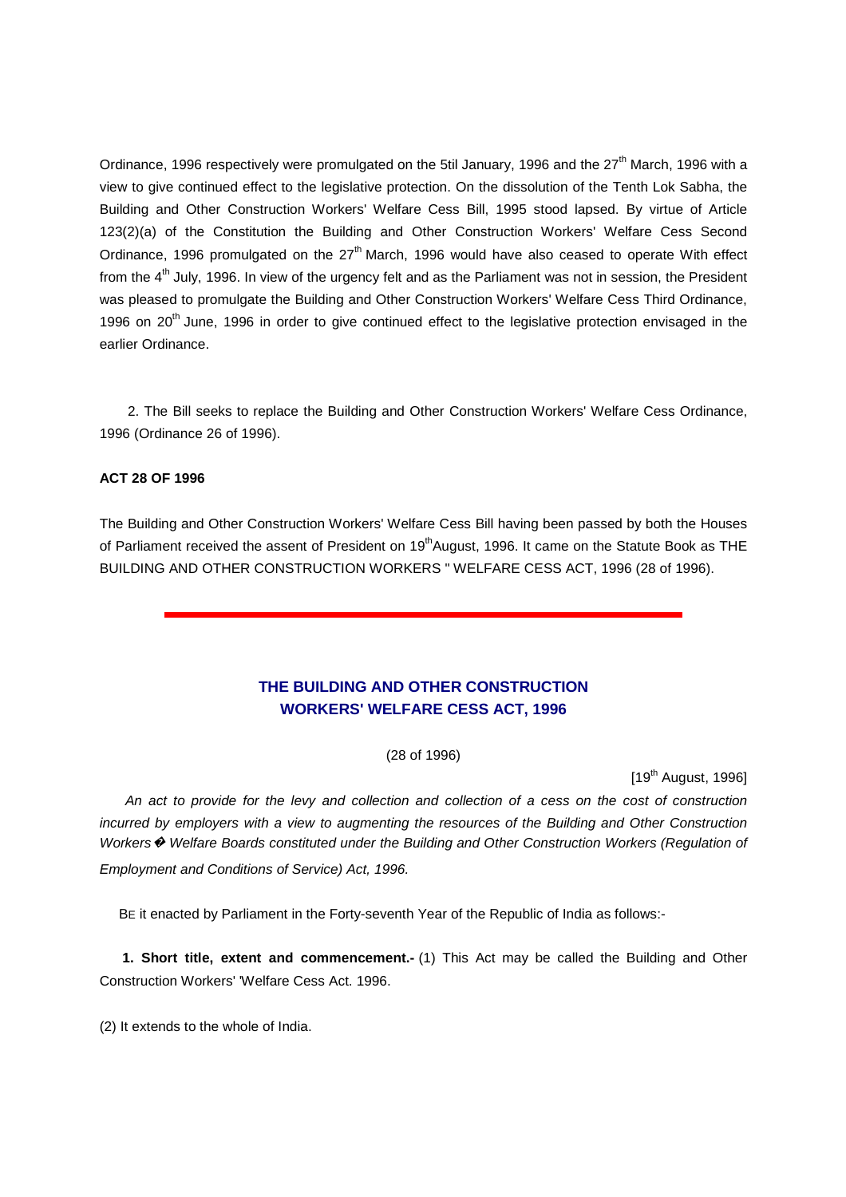Ordinance, 1996 respectively were promulgated on the 5til January, 1996 and the 27<sup>th</sup> March, 1996 with a view to give continued effect to the legislative protection. On the dissolution of the Tenth Lok Sabha, the Building and Other Construction Workers' Welfare Cess Bill, 1995 stood lapsed. By virtue of Article 123(2)(a) of the Constitution the Building and Other Construction Workers' Welfare Cess Second Ordinance, 1996 promulgated on the  $27<sup>th</sup>$  March, 1996 would have also ceased to operate With effect from the 4<sup>th</sup> July, 1996. In view of the urgency felt and as the Parliament was not in session, the President was pleased to promulgate the Building and Other Construction Workers' Welfare Cess Third Ordinance, 1996 on 20<sup>th</sup> June, 1996 in order to give continued effect to the legislative protection envisaged in the earlier Ordinance.

 2. The Bill seeks to replace the Building and Other Construction Workers' Welfare Cess Ordinance, 1996 (Ordinance 26 of 1996).

## **ACT 28 OF 1996**

The Building and Other Construction Workers' Welfare Cess Bill having been passed by both the Houses of Parliament received the assent of President on 19<sup>th</sup>August, 1996. It came on the Statute Book as THE BUILDING AND OTHER CONSTRUCTION WORKERS " WELFARE CESS ACT, 1996 (28 of 1996).

# **THE BUILDING AND OTHER CONSTRUCTION WORKERS' WELFARE CESS ACT, 1996**

(28 of 1996)

 $[19<sup>th</sup>$  August, 1996]

 An act to provide for the levy and collection and collection of a cess on the cost of construction incurred by employers with a view to augmenting the resources of the Building and Other Construction Workers  $\odot$  Welfare Boards constituted under the Building and Other Construction Workers (Regulation of Employment and Conditions of Service) Act, 1996.

BE it enacted by Parliament in the Forty-seventh Year of the Republic of India as follows:-

**1. Short title, extent and commencement.**- (1) This Act may be called the Building and Other Construction Workers' 'Welfare Cess Act. 1996.

(2) It extends to the whole of India.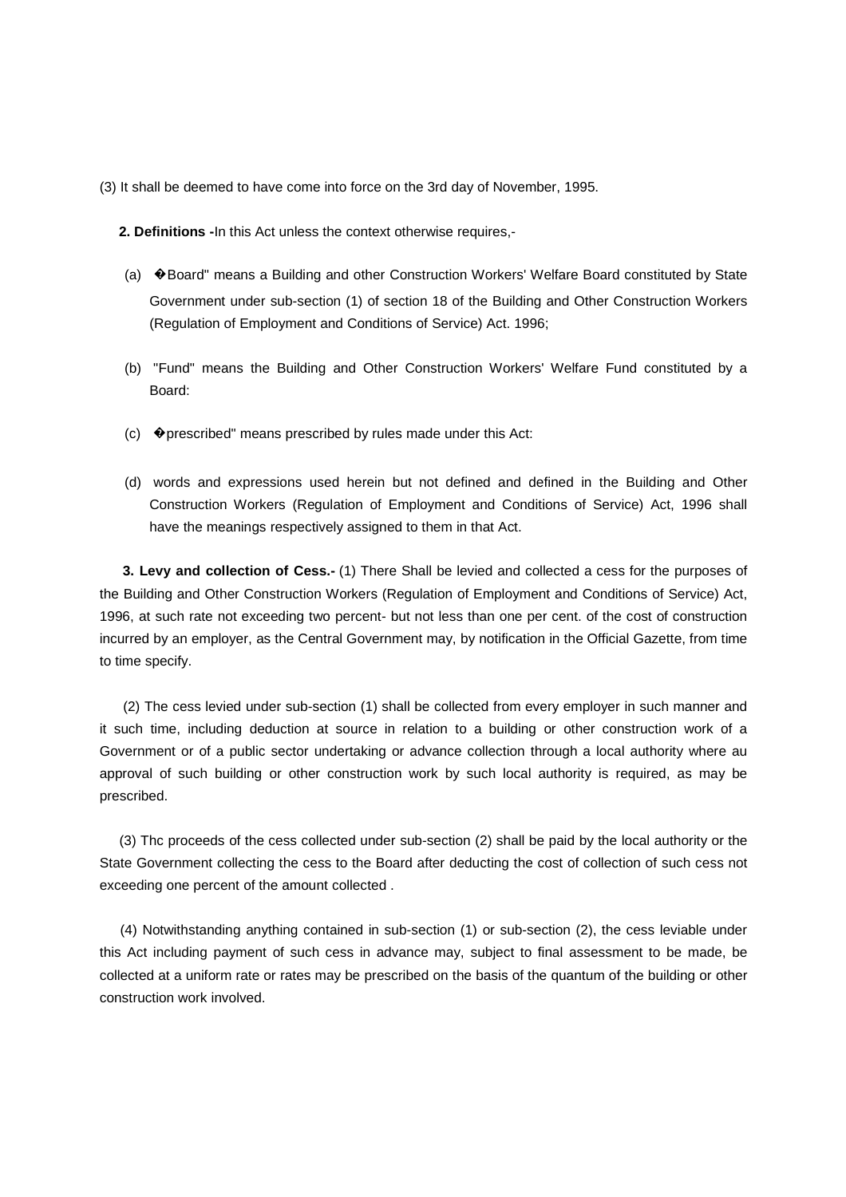(3) It shall be deemed to have come into force on the 3rd day of November, 1995.

 **2. Definitions -**In this Act unless the context otherwise requires,-

- (a) �Board" means a Building and other Construction Workers' Welfare Board constituted by State Government under sub-section (1) of section 18 of the Building and Other Construction Workers (Regulation of Employment and Conditions of Service) Act. 1996;
- (b) "Fund" means the Building and Other Construction Workers' Welfare Fund constituted by a Board:
- $(c)$   $\blacklozenge$  prescribed" means prescribed by rules made under this Act:
- (d) words and expressions used herein but not defined and defined in the Building and Other Construction Workers (Regulation of Employment and Conditions of Service) Act, 1996 shall have the meanings respectively assigned to them in that Act.

 **3. Levy and collection of Cess.-** (1) There Shall be levied and collected a cess for the purposes of the Building and Other Construction Workers (Regulation of Employment and Conditions of Service) Act, 1996, at such rate not exceeding two percent- but not less than one per cent. of the cost of construction incurred by an employer, as the Central Government may, by notification in the Official Gazette, from time to time specify.

 (2) The cess levied under sub-section (1) shall be collected from every employer in such manner and it such time, including deduction at source in relation to a building or other construction work of a Government or of a public sector undertaking or advance collection through a local authority where au approval of such building or other construction work by such local authority is required, as may be prescribed.

 (3) Thc proceeds of the cess collected under sub-section (2) shall be paid by the local authority or the State Government collecting the cess to the Board after deducting the cost of collection of such cess not exceeding one percent of the amount collected .

 (4) Notwithstanding anything contained in sub-section (1) or sub-section (2), the cess leviable under this Act including payment of such cess in advance may, subject to final assessment to be made, be collected at a uniform rate or rates may be prescribed on the basis of the quantum of the building or other construction work involved.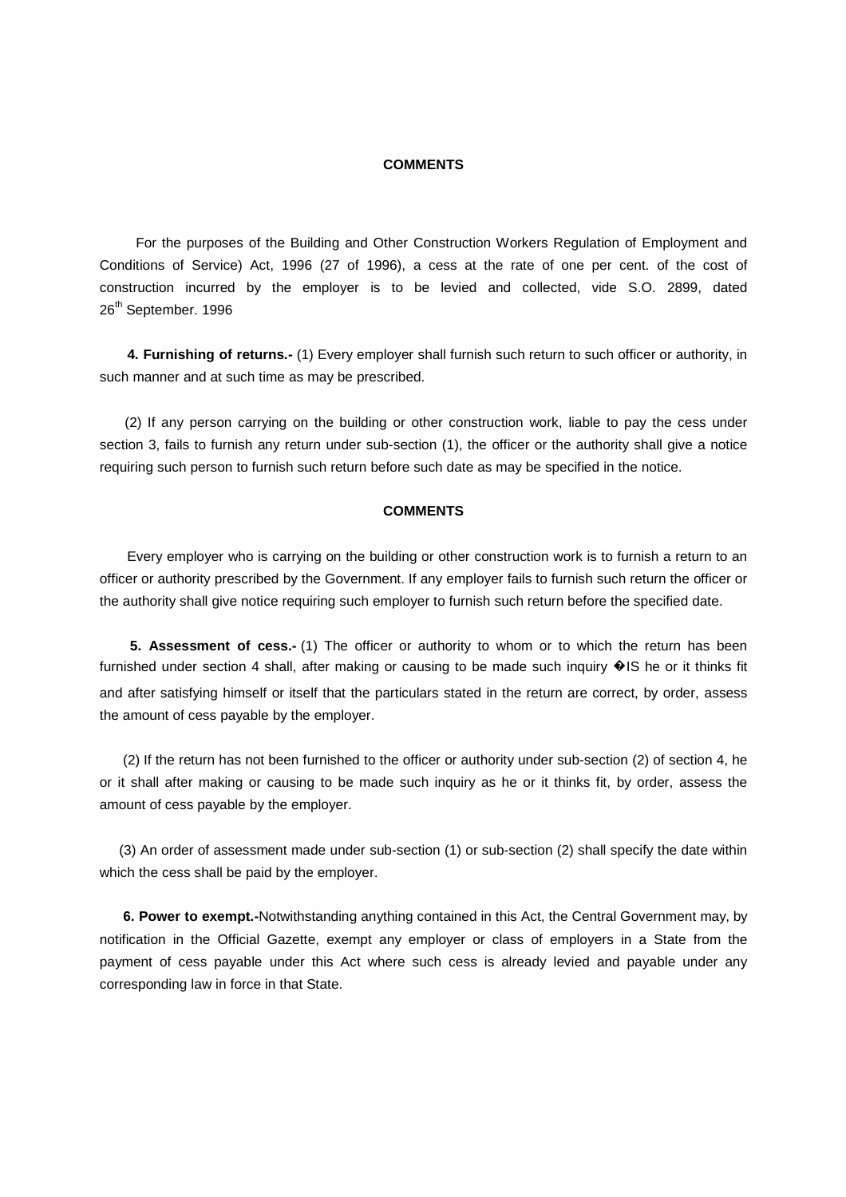## **COMMENTS**

 For the purposes of the Building and Other Construction Workers Regulation of Employment and Conditions of Service) Act, 1996 (27 of 1996), a cess at the rate of one per cent. of the cost of construction incurred by the employer is to be levied and collected, vide S.O. 2899, dated 26<sup>th</sup> September. 1996

 **4. Furnishing of returns.-** (1) Every employer shall furnish such return to such officer or authority, in such manner and at such time as may be prescribed.

 (2) If any person carrying on the building or other construction work, liable to pay the cess under section 3, fails to furnish any return under sub-section (1), the officer or the authority shall give a notice requiring such person to furnish such return before such date as may be specified in the notice.

#### **COMMENTS**

 Every employer who is carrying on the building or other construction work is to furnish a return to an officer or authority prescribed by the Government. If any employer fails to furnish such return the officer or the authority shall give notice requiring such employer to furnish such return before the specified date.

 **5. Assessment of cess.-** (1) The officer or authority to whom or to which the return has been furnished under section 4 shall, after making or causing to be made such inquiry  $\bigcirc$ IS he or it thinks fit and after satisfying himself or itself that the particulars stated in the return are correct, by order, assess the amount of cess payable by the employer.

 (2) If the return has not been furnished to the officer or authority under sub-section (2) of section 4, he or it shall after making or causing to be made such inquiry as he or it thinks fit, by order, assess the amount of cess payable by the employer.

 (3) An order of assessment made under sub-section (1) or sub-section (2) shall specify the date within which the cess shall be paid by the employer.

 **6. Power to exempt.-**Notwithstanding anything contained in this Act, the Central Government may, by notification in the Official Gazette, exempt any employer or class of employers in a State from the payment of cess payable under this Act where such cess is already levied and payable under any corresponding law in force in that State.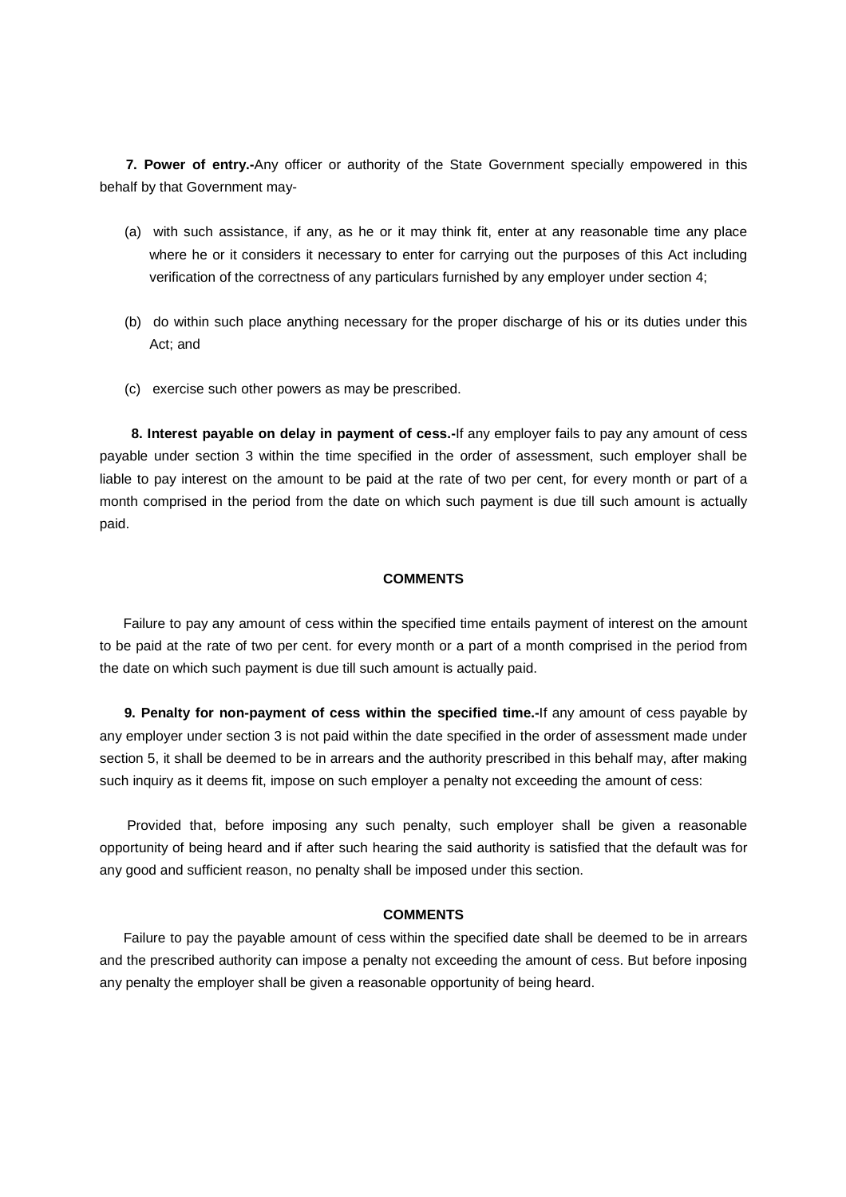**7. Power of entry.-**Any officer or authority of the State Government specially empowered in this behalf by that Government may-

- (a) with such assistance, if any, as he or it may think fit, enter at any reasonable time any place where he or it considers it necessary to enter for carrying out the purposes of this Act including verification of the correctness of any particulars furnished by any employer under section 4;
- (b) do within such place anything necessary for the proper discharge of his or its duties under this Act; and
- (c) exercise such other powers as may be prescribed.

 **8. Interest payable on delay in payment of cess.-**If any employer fails to pay any amount of cess payable under section 3 within the time specified in the order of assessment, such employer shall be liable to pay interest on the amount to be paid at the rate of two per cent, for every month or part of a month comprised in the period from the date on which such payment is due till such amount is actually paid.

#### **COMMENTS**

 Failure to pay any amount of cess within the specified time entails payment of interest on the amount to be paid at the rate of two per cent. for every month or a part of a month comprised in the period from the date on which such payment is due till such amount is actually paid.

 **9. Penalty for non-payment of cess within the specified time.-**If any amount of cess payable by any employer under section 3 is not paid within the date specified in the order of assessment made under section 5, it shall be deemed to be in arrears and the authority prescribed in this behalf may, after making such inquiry as it deems fit, impose on such employer a penalty not exceeding the amount of cess:

 Provided that, before imposing any such penalty, such employer shall be given a reasonable opportunity of being heard and if after such hearing the said authority is satisfied that the default was for any good and sufficient reason, no penalty shall be imposed under this section.

## **COMMENTS**

 Failure to pay the payable amount of cess within the specified date shall be deemed to be in arrears and the prescribed authority can impose a penalty not exceeding the amount of cess. But before inposing any penalty the employer shall be given a reasonable opportunity of being heard.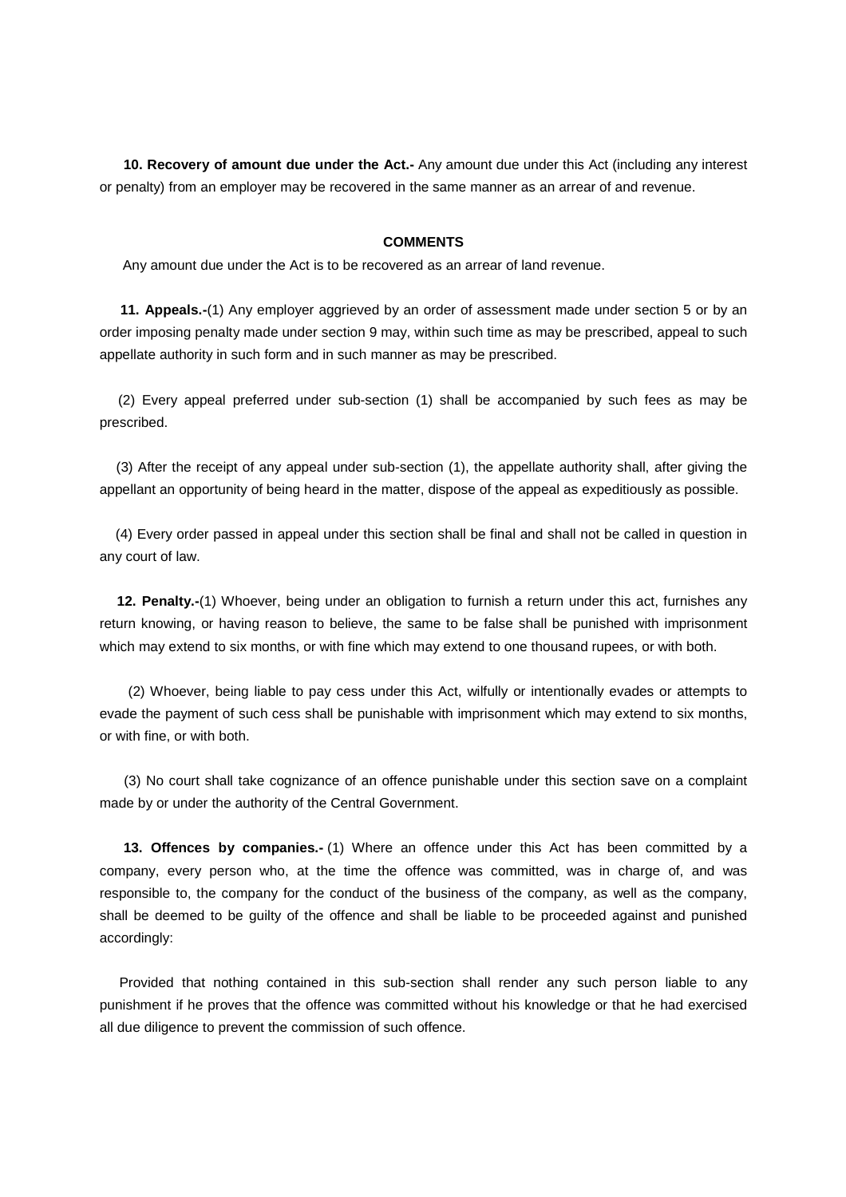**10. Recovery of amount due under the Act.-** Any amount due under this Act (including any interest or penalty) from an employer may be recovered in the same manner as an arrear of and revenue.

## **COMMENTS**

Any amount due under the Act is to be recovered as an arrear of land revenue.

 **11. Appeals.-**(1) Any employer aggrieved by an order of assessment made under section 5 or by an order imposing penalty made under section 9 may, within such time as may be prescribed, appeal to such appellate authority in such form and in such manner as may be prescribed.

 (2) Every appeal preferred under sub-section (1) shall be accompanied by such fees as may be prescribed.

 (3) After the receipt of any appeal under sub-section (1), the appellate authority shall, after giving the appellant an opportunity of being heard in the matter, dispose of the appeal as expeditiously as possible.

 (4) Every order passed in appeal under this section shall be final and shall not be called in question in any court of law.

 **12. Penalty.-**(1) Whoever, being under an obligation to furnish a return under this act, furnishes any return knowing, or having reason to believe, the same to be false shall be punished with imprisonment which may extend to six months, or with fine which may extend to one thousand rupees, or with both.

 (2) Whoever, being liable to pay cess under this Act, wilfully or intentionally evades or attempts to evade the payment of such cess shall be punishable with imprisonment which may extend to six months, or with fine, or with both.

 (3) No court shall take cognizance of an offence punishable under this section save on a complaint made by or under the authority of the Central Government.

 **13. Offences by companies.-** (1) Where an offence under this Act has been committed by a company, every person who, at the time the offence was committed, was in charge of, and was responsible to, the company for the conduct of the business of the company, as well as the company, shall be deemed to be guilty of the offence and shall be liable to be proceeded against and punished accordingly:

 Provided that nothing contained in this sub-section shall render any such person liable to any punishment if he proves that the offence was committed without his knowledge or that he had exercised all due diligence to prevent the commission of such offence.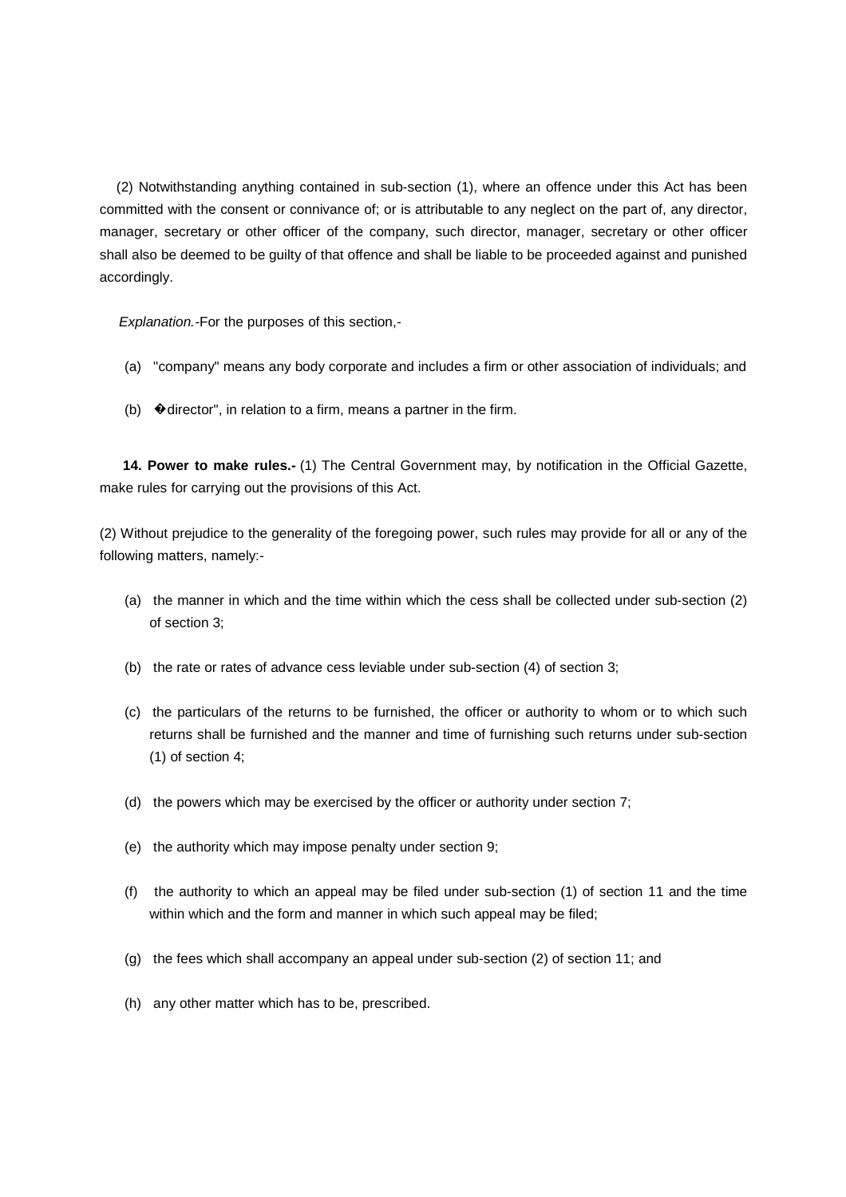(2) Notwithstanding anything contained in sub-section (1), where an offence under this Act has been committed with the consent or connivance of; or is attributable to any neglect on the part of, any director, manager, secretary or other officer of the company, such director, manager, secretary or other officer shall also be deemed to be guilty of that offence and shall be liable to be proceeded against and punished accordingly.

Explanation.-For the purposes of this section,-

- (a) "company" means any body corporate and includes a firm or other association of individuals; and
- (b)  $\blacklozenge$  director", in relation to a firm, means a partner in the firm.

 **14. Power to make rules.-** (1) The Central Government may, by notification in the Official Gazette, make rules for carrying out the provisions of this Act.

(2) Without prejudice to the generality of the foregoing power, such rules may provide for all or any of the following matters, namely:-

- (a) the manner in which and the time within which the cess shall be collected under sub-section (2) of section 3;
- (b) the rate or rates of advance cess leviable under sub-section (4) of section 3;
- (c) the particulars of the returns to be furnished, the officer or authority to whom or to which such returns shall be furnished and the manner and time of furnishing such returns under sub-section (1) of section 4;
- (d) the powers which may be exercised by the officer or authority under section 7;
- (e) the authority which may impose penalty under section 9;
- (f) the authority to which an appeal may be filed under sub-section (1) of section 11 and the time within which and the form and manner in which such appeal may be filed;
- (g) the fees which shall accompany an appeal under sub-section (2) of section 11; and
- (h) any other matter which has to be, prescribed.